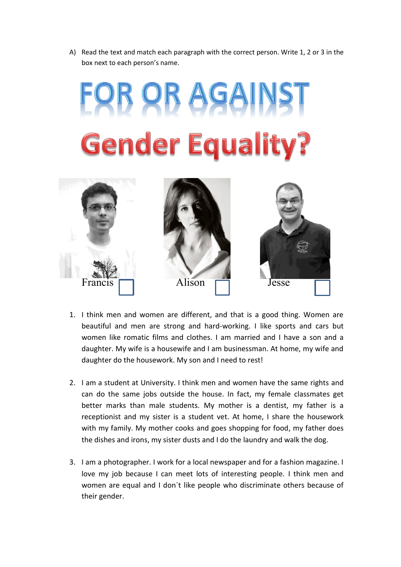A) Read the text and match each paragraph with the correct person. Write 1, 2 or 3 in the box next to each person's name.





- 1. I think men and women are different, and that is a good thing. Women are beautiful and men are strong and hard-working. I like sports and cars but women like romatic films and clothes. I am married and I have a son and a daughter. My wife is a housewife and I am businessman. At home, my wife and daughter do the housework. My son and I need to rest!  $\ddot{\phantom{1}}$
- 2. I am a student at University. I think men and women have the same rights and can do the same jobs outside the house. In fact, my female classmates get better marks than male students. My mother is a dentist, my father is a receptionist and my sister is a student vet. At home, I share the housework with my family. My mother cooks and goes shopping for food, my father does the dishes and irons, my sister dusts and I do the laundry and walk the dog.
- 3. I am a photographer. I work for a local newspaper and for a fashion magazine. I love my job because I can meet lots of interesting people. I think men and women are equal and I don´t like people who discriminate others because of their gender.